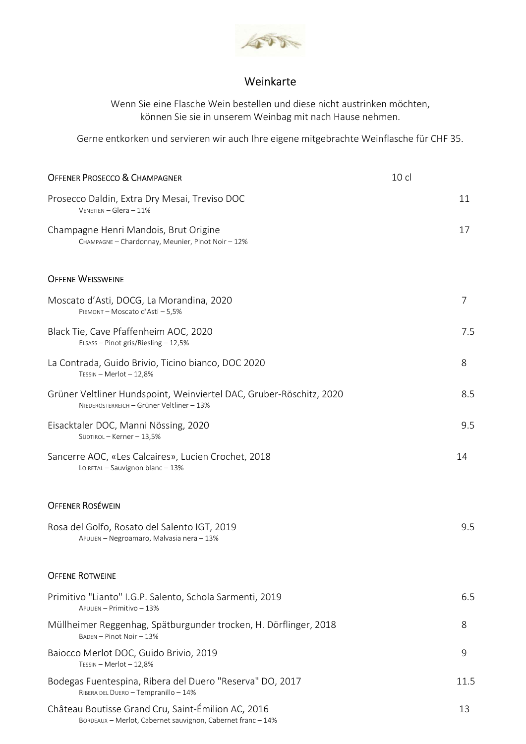

## Weinkarte

Wenn Sie eine Flasche Wein bestellen und diese nicht austrinken möchten, können Sie sie in unserem Weinbag mit nach Hause nehmen.

Gerne entkorken und servieren wir auch Ihre eigene mitgebrachte Weinflasche für CHF 35.

| <b>OFFENER PROSECCO &amp; CHAMPAGNER</b>                                                                         | 10 cl |                |
|------------------------------------------------------------------------------------------------------------------|-------|----------------|
| Prosecco Daldin, Extra Dry Mesai, Treviso DOC<br>$V$ ENETIEN - Glera - 11%                                       |       | 11             |
| Champagne Henri Mandois, Brut Origine<br>CHAMPAGNE - Chardonnay, Meunier, Pinot Noir - 12%                       |       | 17             |
| <b>OFFENE WEISSWEINE</b>                                                                                         |       |                |
| Moscato d'Asti, DOCG, La Morandina, 2020<br>PIEMONT - Moscato d'Asti - 5,5%                                      |       | $\overline{7}$ |
| Black Tie, Cave Pfaffenheim AOC, 2020<br>ELSASS - Pinot gris/Riesling - 12,5%                                    |       | 7.5            |
| La Contrada, Guido Brivio, Ticino bianco, DOC 2020<br>TESSIN - Merlot - 12,8%                                    |       | 8              |
| Grüner Veltliner Hundspoint, Weinviertel DAC, Gruber-Röschitz, 2020<br>NIEDERÖSTERREICH - Grüner Veltliner - 13% |       | 8.5            |
| Eisacktaler DOC, Manni Nössing, 2020<br>SÜDTIROL - Kerner - 13,5%                                                |       | 9.5            |
| Sancerre AOC, «Les Calcaires», Lucien Crochet, 2018<br>LOIRETAL - Sauvignon blanc - 13%                          |       | 14             |
| <b>OFFENER ROSÉWEIN</b>                                                                                          |       |                |
| Rosa del Golfo, Rosato del Salento IGT, 2019<br>APULIEN - Negroamaro, Malvasia nera - 13%                        |       | 9.5            |
| <b>OFFENE ROTWEINE</b>                                                                                           |       |                |
| Primitivo "Lianto" I.G.P. Salento, Schola Sarmenti, 2019                                                         |       | 6.5            |
| APULIEN - Primitivo - 13%                                                                                        |       |                |
| Müllheimer Reggenhag, Spätburgunder trocken, H. Dörflinger, 2018<br>BADEN - Pinot Noir - 13%                     |       | 8              |
| Baiocco Merlot DOC, Guido Brivio, 2019<br>TESSIN - Merlot - 12,8%                                                |       | 9              |
| Bodegas Fuentespina, Ribera del Duero "Reserva" DO, 2017<br>RIBERA DEL DUERO - Tempranillo - 14%                 |       | 11.5           |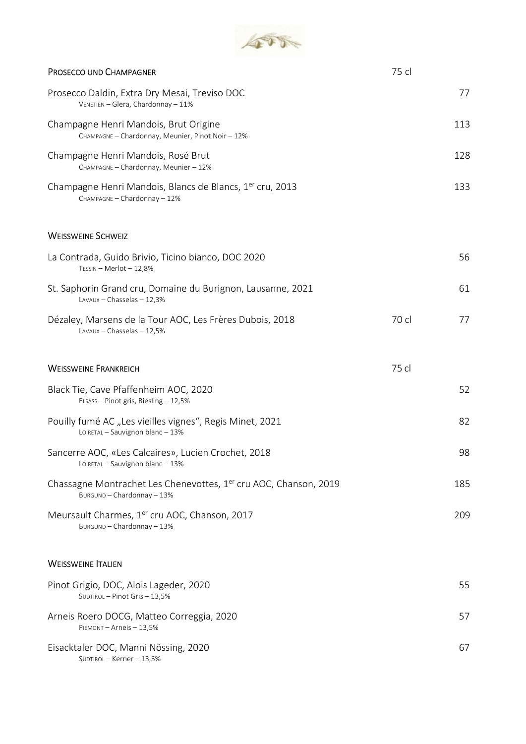

| PROSECCO UND CHAMPAGNER                                                                                    | 75 cl |     |
|------------------------------------------------------------------------------------------------------------|-------|-----|
| Prosecco Daldin, Extra Dry Mesai, Treviso DOC<br>VENETIEN - Glera, Chardonnay - 11%                        |       | 77  |
| Champagne Henri Mandois, Brut Origine<br>CHAMPAGNE - Chardonnay, Meunier, Pinot Noir - 12%                 |       | 113 |
| Champagne Henri Mandois, Rosé Brut<br>CHAMPAGNE - Chardonnay, Meunier - 12%                                |       | 128 |
| Champagne Henri Mandois, Blancs de Blancs, 1 <sup>er</sup> cru, 2013<br>CHAMPAGNE - Chardonnay - 12%       |       | 133 |
| <b>WEISSWEINE SCHWEIZ</b>                                                                                  |       |     |
| La Contrada, Guido Brivio, Ticino bianco, DOC 2020<br>TESSIN - Merlot - 12,8%                              |       | 56  |
| St. Saphorin Grand cru, Domaine du Burignon, Lausanne, 2021<br>LAVAUX - Chasselas - 12,3%                  |       | 61  |
| Dézaley, Marsens de la Tour AOC, Les Frères Dubois, 2018<br>LAVAUX - Chasselas - 12,5%                     | 70 cl | 77  |
| <b>WEISSWEINE FRANKREICH</b>                                                                               | 75 cl |     |
| Black Tie, Cave Pfaffenheim AOC, 2020<br>ELSASS - Pinot gris, Riesling - 12,5%                             |       | 52  |
| Pouilly fumé AC "Les vieilles vignes", Regis Minet, 2021<br>LOIRETAL - Sauvignon blanc - 13%               |       | 82  |
| Sancerre AOC, «Les Calcaires», Lucien Crochet, 2018<br>LOIRETAL - Sauvignon blanc - 13%                    |       | 98  |
| Chassagne Montrachet Les Chenevottes, 1 <sup>er</sup> cru AOC, Chanson, 2019<br>BURGUND - Chardonnay - 13% |       | 185 |
| Meursault Charmes, 1er cru AOC, Chanson, 2017<br>BURGUND - Chardonnay - 13%                                |       | 209 |
| <b>WEISSWEINE ITALIEN</b>                                                                                  |       |     |
| Pinot Grigio, DOC, Alois Lageder, 2020<br>SÜDTIROL - Pinot Gris - 13,5%                                    |       | 55  |
| Arneis Roero DOCG, Matteo Correggia, 2020<br>PIEMONT-Arneis-13,5%                                          |       | 57  |
| Eisacktaler DOC, Manni Nössing, 2020<br>SÜDTIROL-Kerner-13,5%                                              |       | 67  |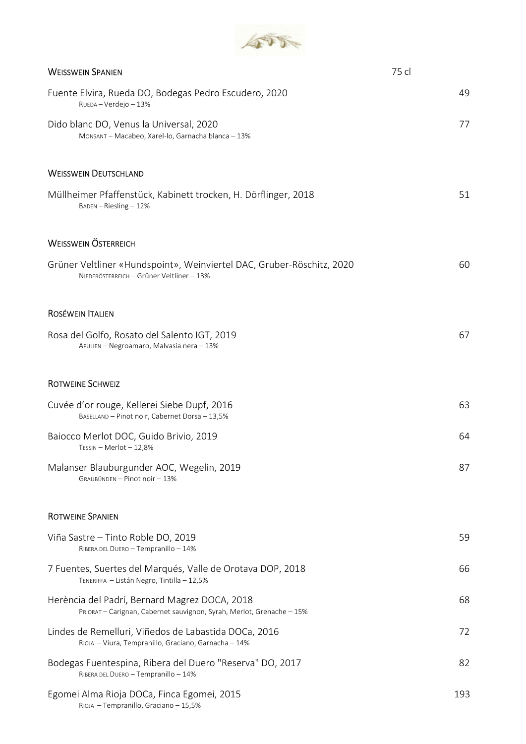

| <b>WEISSWEIN SPANIEN</b>                                                                                               | 75 cl |
|------------------------------------------------------------------------------------------------------------------------|-------|
| Fuente Elvira, Rueda DO, Bodegas Pedro Escudero, 2020<br>RUEDA - Verdejo - 13%                                         | 49    |
| Dido blanc DO, Venus la Universal, 2020<br>MONSANT - Macabeo, Xarel-lo, Garnacha blanca - 13%                          | 77    |
| <b>WEISSWEIN DEUTSCHLAND</b>                                                                                           |       |
| Müllheimer Pfaffenstück, Kabinett trocken, H. Dörflinger, 2018<br>$BADEN - Riesling - 12%$                             | 51    |
| <b>WEISSWEIN ÖSTERREICH</b>                                                                                            |       |
| Grüner Veltliner «Hundspoint», Weinviertel DAC, Gruber-Röschitz, 2020<br>NIEDERÖSTERREICH - Grüner Veltliner - 13%     | 60    |
| <b>ROSÉWEIN ITALIEN</b>                                                                                                |       |
| Rosa del Golfo, Rosato del Salento IGT, 2019<br>APULIEN - Negroamaro, Malvasia nera - 13%                              | 67    |
| <b>ROTWEINE SCHWEIZ</b>                                                                                                |       |
| Cuvée d'or rouge, Kellerei Siebe Dupf, 2016<br>BASELLAND - Pinot noir, Cabernet Dorsa - 13,5%                          | 63    |
| Baiocco Merlot DOC, Guido Brivio, 2019<br>TESSIN - Merlot - 12,8%                                                      | 64    |
| Malanser Blauburgunder AOC, Wegelin, 2019<br>GRAUBÜNDEN - Pinot noir - 13%                                             | 87    |
| <b>ROTWEINE SPANIEN</b>                                                                                                |       |
| Viña Sastre – Tinto Roble DO, 2019<br>RIBERA DEL DUERO - Tempranillo - 14%                                             | 59    |
| 7 Fuentes, Suertes del Marqués, Valle de Orotava DOP, 2018<br>TENERIFFA - Listán Negro, Tintilla - 12,5%               | 66    |
| Herència del Padrí, Bernard Magrez DOCA, 2018<br>PRIORAT - Carignan, Cabernet sauvignon, Syrah, Merlot, Grenache - 15% | 68    |
| Lindes de Remelluri, Viñedos de Labastida DOCa, 2016<br>RIOJA - Viura, Tempranillo, Graciano, Garnacha - 14%           | 72    |
| Bodegas Fuentespina, Ribera del Duero "Reserva" DO, 2017<br>RIBERA DEL DUERO - Tempranillo - 14%                       | 82    |
| Egomei Alma Rioja DOCa, Finca Egomei, 2015<br>RIOJA - Tempranillo, Graciano - 15,5%                                    | 193   |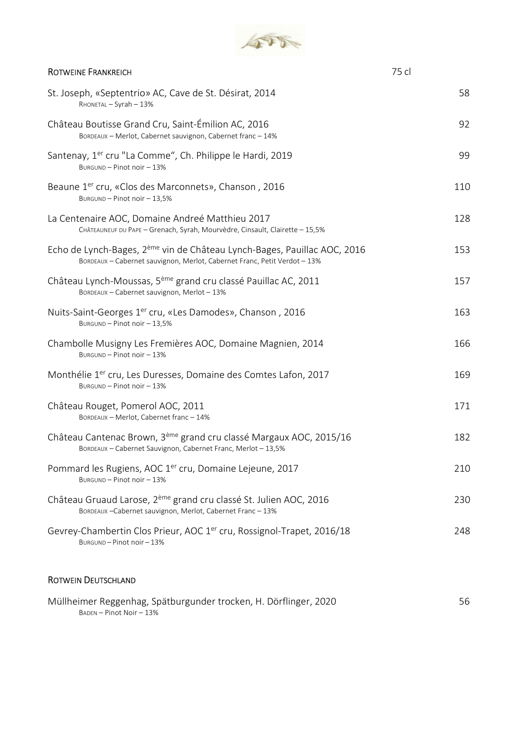

| <b>ROTWEINE FRANKREICH</b>                                                                                                                                        | 75 cl |
|-------------------------------------------------------------------------------------------------------------------------------------------------------------------|-------|
| St. Joseph, «Septentrio» AC, Cave de St. Désirat, 2014<br>RHONETAL - Syrah - 13%                                                                                  | 58    |
| Château Boutisse Grand Cru, Saint-Émilion AC, 2016<br>BORDEAUX - Merlot, Cabernet sauvignon, Cabernet franc - 14%                                                 | 92    |
| Santenay, 1 <sup>er</sup> cru "La Comme", Ch. Philippe le Hardi, 2019<br>BURGUND - Pinot noir - 13%                                                               | 99    |
| Beaune 1 <sup>er</sup> cru, «Clos des Marconnets», Chanson, 2016<br>BURGUND - Pinot noir - 13,5%                                                                  | 110   |
| La Centenaire AOC, Domaine Andreé Matthieu 2017<br>CHÂTEAUNEUF DU PAPE - Grenach, Syrah, Mourvèdre, Cinsault, Clairette - 15,5%                                   | 128   |
| Echo de Lynch-Bages, 2 <sup>ème</sup> vin de Château Lynch-Bages, Pauillac AOC, 2016<br>BORDEAUX - Cabernet sauvignon, Merlot, Cabernet Franc, Petit Verdot - 13% | 153   |
| Château Lynch-Moussas, 5 <sup>ème</sup> grand cru classé Pauillac AC, 2011<br>BORDEAUX - Cabernet sauvignon, Merlot - 13%                                         | 157   |
| Nuits-Saint-Georges 1 <sup>er</sup> cru, «Les Damodes», Chanson, 2016<br>BURGUND - Pinot noir - 13,5%                                                             | 163   |
| Chambolle Musigny Les Fremières AOC, Domaine Magnien, 2014<br>BURGUND - Pinot noir - 13%                                                                          | 166   |
| Monthélie 1 <sup>er</sup> cru, Les Duresses, Domaine des Comtes Lafon, 2017<br>BURGUND - Pinot noir - 13%                                                         | 169   |
| Château Rouget, Pomerol AOC, 2011<br>BORDEAUX - Merlot, Cabernet franc - 14%                                                                                      | 171   |
| Château Cantenac Brown, 3 <sup>ème</sup> grand cru classé Margaux AOC, 2015/16<br>BORDEAUX - Cabernet Sauvignon, Cabernet Franc, Merlot - 13,5%                   | 182   |
| Pommard les Rugiens, AOC 1 <sup>er</sup> cru, Domaine Lejeune, 2017<br>BURGUND - Pinot noir - 13%                                                                 | 210   |
| Château Gruaud Larose, 2 <sup>ème</sup> grand cru classé St. Julien AOC, 2016<br>BORDEAUX-Cabernet sauvignon, Merlot, Cabernet Franc-13%                          | 230   |
| Gevrey-Chambertin Clos Prieur, AOC 1 <sup>er</sup> cru, Rossignol-Trapet, 2016/18<br>BURGUND-Pinot noir-13%                                                       | 248   |
| <b>ROTWEIN DEUTSCHLAND</b>                                                                                                                                        |       |

| Müllheimer Reggenhag, Spätburgunder trocken, H. Dörflinger, 2020 | 56 |
|------------------------------------------------------------------|----|
| BADEN – Pinot Noir – 13%                                         |    |